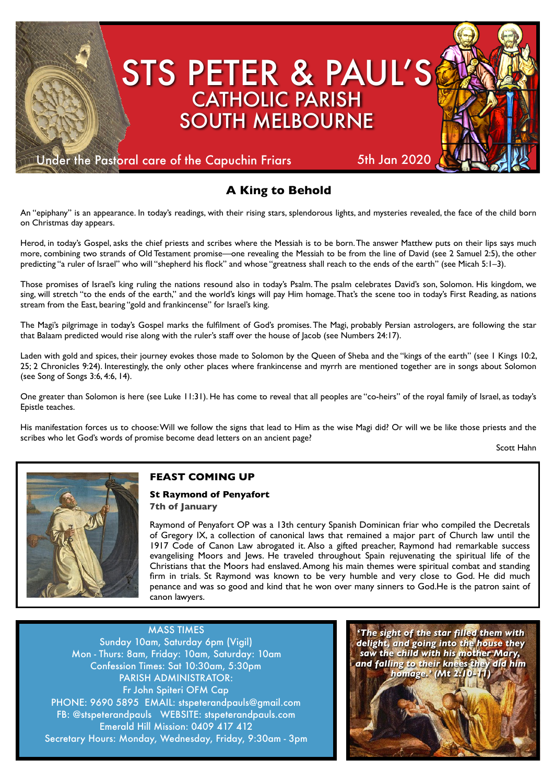

# **A King to Behold**

An "epiphany" is an appearance. In today's readings, with their rising stars, splendorous lights, and mysteries revealed, the face of the child born on Christmas day appears.

Herod, in today's Gospel, asks the chief priests and scribes where the Messiah is to be born. The answer Matthew puts on their lips says much more, combining two strands of Old Testament promise—one revealing the Messiah to be from the line of David (see 2 Samuel 2:5), the other predicting "a ruler of Israel" who will "shepherd his flock" and whose "greatness shall reach to the ends of the earth" (see Micah 5:1-3).

Those promises of Israel's king ruling the nations resound also in today's Psalm. The psalm celebrates David's son, Solomon. His kingdom, we sing, will stretch "to the ends of the earth," and the world's kings will pay Him homage. That's the scene too in today's First Reading, as nations stream from the East, bearing "gold and frankincense" for Israel's king.

The Magi's pilgrimage in today's Gospel marks the fulfilment of God's promises. The Magi, probably Persian astrologers, are following the star that Balaam predicted would rise along with the ruler's staff over the house of lacob (see Numbers 24:17).

Laden with gold and spices, their journey evokes those made to Solomon by the Queen of Sheba and the "kings of the earth" (see 1 Kings 10:2, 25; 2 Chronicles 9:24). Interestingly, the only other places where frankincense and myrrh are mentioned together are in songs about Solomon (see Song of Songs 3:6, 4:6, 14).

One greater than Solomon is here (see Luke 11:31). He has come to reveal that all peoples are "co-heirs" of the royal family of Israel, as today's Epistle teaches.

His manifestation forces us to choose: Will we follow the signs that lead to Him as the wise Magi did? Or will we be like those priests and the scribes who let God's words of promise become dead letters on an ancient page?

Scott Hahn



## **FEAST COMING UP**

#### **St Raymond of Penyafort 7th of January**

Raymond of Penyafort OP was a 13th century Spanish Dominican friar who compiled the Decretals of Gregory IX, a collection of canonical laws that remained a major part of Church law until the 1917 Code of Canon Law abrogated it. Also a gifted preacher, Raymond had remarkable success evangelising Moors and Jews. He traveled throughout Spain rejuvenating the spiritual life of the Christians that the Moors had enslaved. Among his main themes were spiritual combat and standing firm in trials. St Raymond was known to be very humble and very close to God. He did much penance and was so good and kind that he won over many sinners to God.He is the patron saint of canon lawyers.

MASS TIMES Sunday 10am, Saturday 6pm (Vigil) Mon - Thurs: 8am, Friday: 10am, Saturday: 10am Confession Times: Sat 10:30am, 5:30pm PARISH ADMINISTRATOR: Fr John Spiteri OFM Cap PHONE: 9690 5895 EMAIL: stspeterandpauls@gmail.com FB: @stspeterandpauls WEBSITE: stspeterandpauls.com Emerald Hill Mission: 0409 417 412 Secretary Hours: Monday, Wednesday, Friday, 9:30am - 3pm

*'The sight of the star filled them with delight, and going into the house they saw the child with his mother Mary, and falling to their knees they did him homage.' (Mt 2:10-11)*